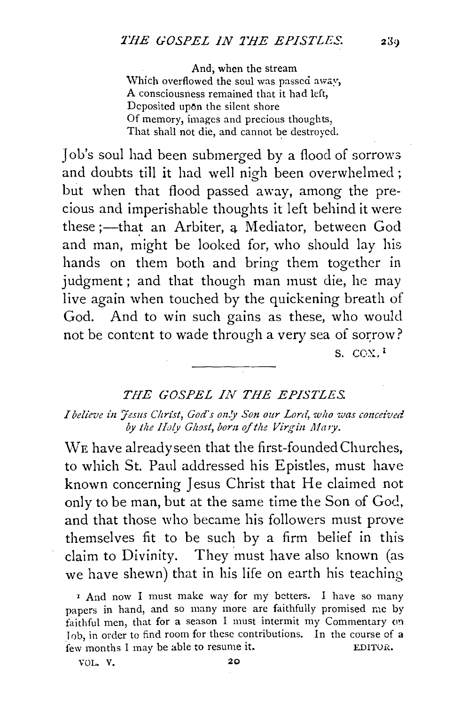And, when the stream Which overflowed the soul was passed away, A consciousness remained that it had left, Deposited upon the silent shore Of memory, images and precious thoughts, That shall not die, and cannot be destroyed.

Job's soul had been submerged by a flood of sorrows and doubts till it had well nigh been overwhelmed ; but when that flood passed away, among the precious and imperishable thoughts it left behind it were these ;—that an Arbiter, a Mediator, between God and man, might be looked for, who should lay his hands on them both and bring them together in judgment; and that though man must die, he may live again when touched by the quickening breath of God. And to win such gains as these, who would not be content to wade through a very sea of sorrow? S. COX. I

## *THE GOSPEL IN THE EPISTLES.*

*I believe z'n Jesus Cltrist, God's on!y Sotz our Lord, w/10 was conceived*  by the Holy Ghost, born of the Virgin Mary.

WE have alreadyseen that the first-founded Churches, to which St. Paul addressed his Epistles, must have known concerning Jesus Christ that He claimed not only to be man, but at the same time the Son of God, and that those who became his followers must prove themselves fit to be such by a firm belief in this claim to Divinity. They must have also known (as we have shewn) that in his life on earth his teaching

' And now I must make way for my betters. I have so many papers in hand, and so many more are faithfully promised r.1e by faithful men, that for a season I must intermit my Commentary on Iob, in order to find room for these contributions. In the course of a few months I may be able to resume it. EDITOR.

VOL. V. 20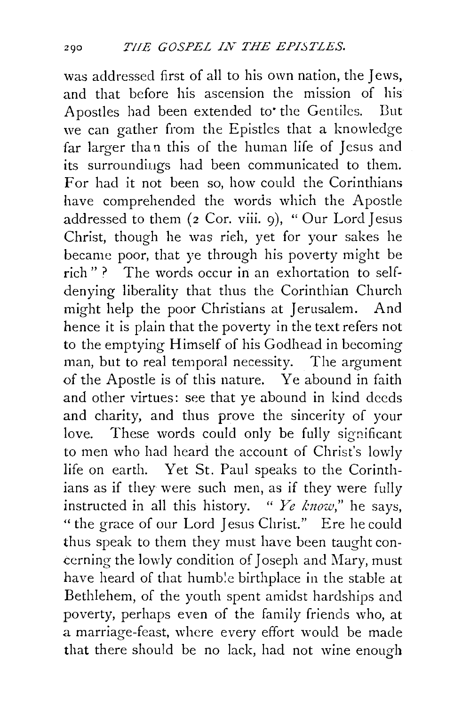was addressed first of all to his own nation, the Jews, and that before his ascension the mission of his Apostles had been extended to' the Gentiles. But we can gather from the Epistles that a knowledge far larger than this of the human life of Jesus and its surroundiugs had been communicated to them. For had it not been so, how could the Corinthians have comprehended the words which the Apostle addressed to them (2 Cor. viii. 9), "Our Lord Jesus Christ, though he was rieh, yet for your sakes he became poor, that ye through his poverty might be rich"? The words occur in an exhortation to selfdenying liberality that thus the Corinthian Church might help the poor Christians at Jerusalem. And hence it is plain that the poverty in the text refers not to the emptying Himself of his Godhead in becoming man, but to real temporal necessity. The argument of the Apostle is of this nature. Ye abound in faith and other virtues: see that ye abound in kind deeds and charity, and thus prove the sincerity of your love. These words could only be fully significant to men who had heard the account of Christ's lowly life on earth. Yet St. Paul speaks to the Corinthians as if they were such men, as if they were fully instructed in all this history. " *Ye know,"* he says, "the grace of our Lord Jesus Christ." Ere he could thus speak to them they must have been taught concerning the lowly condition of Joseph and Mary, must have heard of that humble birthplace in the stable at Bethlehem, of the youth spent amidst hardships and poverty, perhaps even of the family friends who, at a marriage-feast, where every effort would be made that there should be no lack, had not wine enough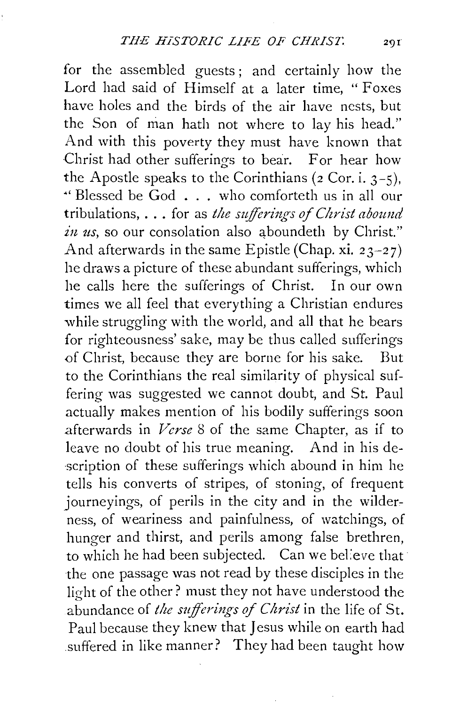for the assembled guests; and certainly how the Lord had said of Himself at a later time, "Foxes have holes and the birds of the air have nests, but the Son of man hath not where to lay his head." And with this poverty they must have known that Christ had other sufferings to bear. For hear how the Apostle speaks to the Corinthians  $(2 \text{ Cor. i. } 3-5)$ , "' Blessed be God ... who comforteth us in all our tribulations, . . . for as *the sufferings of Christ abound* in us, so our consolation also aboundeth by Christ." And afterwards in the same Epistle (Chap. xi.  $23-27$ ) he draws a picture of these abundant sufferings, which he calls here the sufferings of Christ. In our own times we all feel that everything a Christian endures while struggling with the world, and all that he bears for righteousness' sake, may be thus called sufferings of Christ, because they are borne for his sake. But to the Corinthians the real similarity of physical suffering was suggested we cannot doubt, and St. Paul actually makes mention of his bodily sufferings soon .afterwards in *Verse* 8 of the same Chapter, as if to leave no doubt of his true meaning. And in his description of these sufferings which abound in him he tells his converts of stripes, of stoning, of frequent journeyings, of perils in the city and in the wilderness, of weariness and painfulness, of watchings, of hunger and thirst, and perils among false brethren, to which he had been subjected. Can we believe that the one passage was not read by these disciples in the light of the other? must they not have understood the abundance of *the sufferings of Christ* in the life of St. Paul because they knew that Jesus while on earth had suffered in like manner? They had been taught how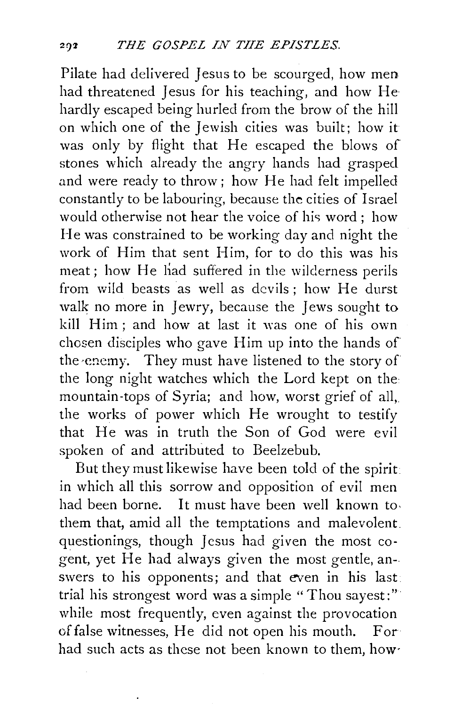Pilate had delivered Jesus to be scourged, how men had threatened Jesus for his teaching, and how He hardly escaped being hurled from the brow of the hill on which one of the Jewish cities was built; how it was only by flight that He escaped the blows of stones which already the angry hands had grasped and were ready to throw; how He had felt impelled constantly to be labouring, because the cities of Israel would otherwise not hear the voice of his word ; how He was constrained to be working day and night the work of Him that sent Him, for to do this was his meat; how He liad suffered in the wilderness perils from wild beasts as well as devils ; how He durst walk no more in Jewry, because the Jews sought to kill Him ; and how at last it was one of his own chosen disciples who gave Him up into the hands of the ·enemy. They must have listened to the story of the long night watches which the Lord kept on the mountain-tops of Syria; and how, worst grief of all, the works of power which He wrought to testify that He was in truth the Son of God were evil spoken of and attributed to Beelzebub.

But they must likewise have been told of the spirit in which all this sorrow and opposition of evil men had been borne. It must have been well known to. them that, amid all the temptations and malevolent. questionings, though Jesus had given the most cogent, yet He had always given the most gentle, answers to his opponents; and that even in his last: trial his strongest word was a simple "Thou sayest:" while most frequently, even against the provocation of false witnesses, He did not open his mouth. For had such acts as these not been known to them, how·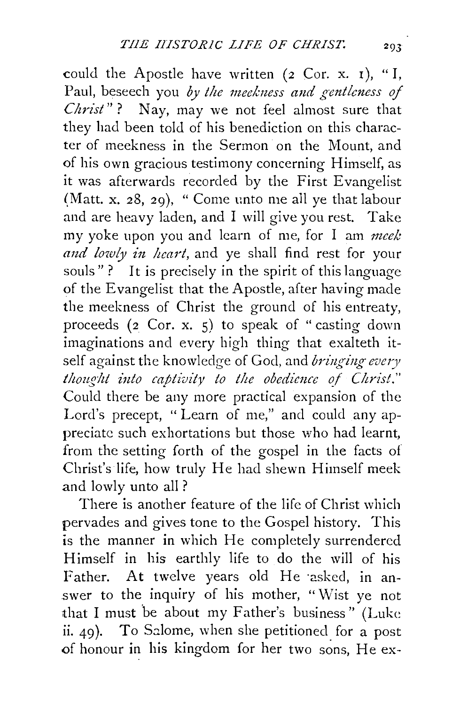could the Apostle have written (2 Cor. x. 1), "I, Paul, beseech you by the meekness and gentleness of *Christ*"? Nay, may we not feel almost sure that they had been told of his benediction on this character of meekness in the Sermon on the Mount, and of his own gracious testimony concerning Himself, as it was afterwards recorded by the First Evangelist (Matt. x. 28, 29), "Come unto me all ye that labour and are heavy laden, and I will give you rest. Take my yoke upon you and learn of me, for I am *meek*  and lowly in heart, and ye shall find rest for your souls"? It is precisely in the spirit of this language of the Evangelist that the Apostle, after having made the meekness of Christ the ground of his entreaty, proceeds (2 Cor. X. s) to speak of "casting down imaginations and every high thing that exalteth itself against the knowledge of God, and *bringing- every thought into captivity to the obedience of Christ."* Could there be any more practical expansion of the Lord's precept, " Learn of me," and could any appreciate such exhortations but those who had learnt, from the setting forth of the gospel in the facts of Christ's life, how truly He had shewn Himself meek and lowly unto all ?

There is another feature of the life of Christ which pervades and gives tone to the Gospel history. This is the manner in which He completely surrendered Himself in his earthly life to do the will of his Father. At twelve years old He asked, in answer to the inquiry of his mother, "Wist ye not that I must be about my Father's business" (Luke ii.  $49$ ). To Salome, when she petitioned for a post of honour in his kingdom for her two sons, He ex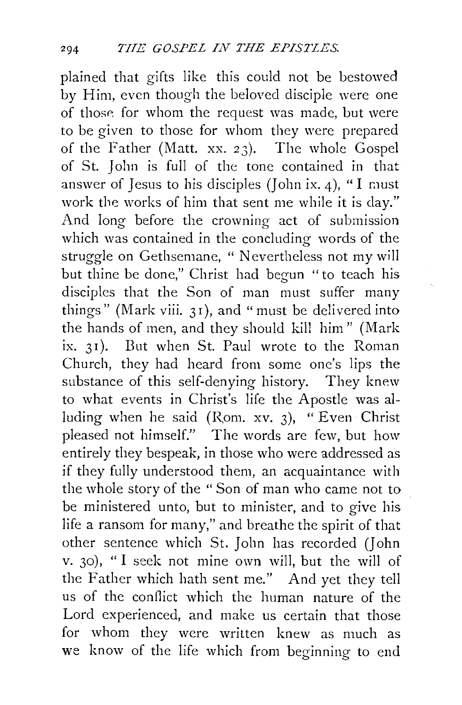plained that gifts like this could not be bestowed by Him, even though the beloved disciple were one of those for whom the request was made, but were to be given to those for whom they were prepared of the Father (Matt. xx. 23). The whole Gospel of St. John is full of the tone contained in that answer of Jesus to his disciples (John ix. 4), "I must work the works of him that sent me while it is day." And long before the crowning act of submission which was contained in the concluding words of the struggle on Gethsemane, " Nevertheless not my will but thine be done," Christ had begun "to teach his disciples that the Son of man must suffer many things" (Mark viii. 31), and "must be delivered into the hands of men, and they should kill him" (Mark ix. 31). But when St. Paul wrote to the Roman Church, they had heard from some one's lips the substance of this self-denying history. They knew to what events in Christ's life the Apostle was alluding when he said (Rom. xv. 3), "Even Christ pleased not himself." The words are few, but how entirely they bespeak, in those who were addressed as if they fully understood them, an acquaintance with the whole story of the "Son of man who came not to be ministered unto, but to minister, and to give his life a ransom for many," and breathe the spirit of that other sentence which St. John has recorded *(]* ohn v. 30), "I seek not mine own will, but the will of the Father which hath sent me." And yet they tell us of the conflict which the human nature of the Lord experienced, and make us certain that those for whom they were written knew as much as we know of the life which from beginning to end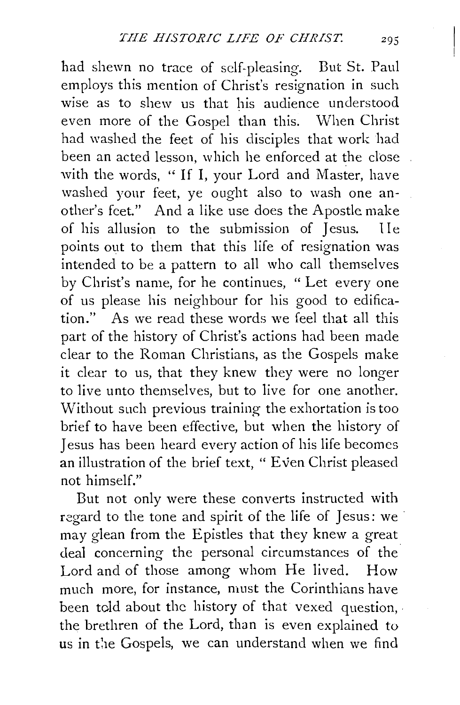had shewn no trace of self-pleasing. But St. Paul employs this mention of Christ's resignation in such wise as to shew us that his audience understood even more of the Gospel than this. When Christ had washed the feet of his disciples that work had been an acted lesson, which he enforced at the close with the words, "If I, your Lord and Master, have washed yonr feet, ye ought also to wash one another's feet." And a like use does the Apostle make of his allusion to the submission of Jesus. IIe points out to them that this life of resignation was intended to be a pattern to all who call themselves by Christ's name, for he continues, " Let every one of us please his neighbour for his good to edification." As we read these words we feel that all this part of the history of Christ's actions had been made clear to the Roman Christians, as the Gospels make it clear to us, that they knew they were no longer to live unto themselves, but to live for one another. Without such previous training the exhortation is too brief to have been effective, but when the history of Jesus has been heard every action of his life becomes an illustration of the brief text, " Even Christ pleased not himself."

But not only were these converts instructed with regard to the tone and spirit of the life of Jesus: we may glean from the Epistles that they knew a great deal concerning the personal circumstances of the Lord and of those among whom He lived. How much more, for instance, must the Corinthians have been told about the history of that vexed question, the brethren of the Lord, than is even explained to us in the Gospels, we can understand when we find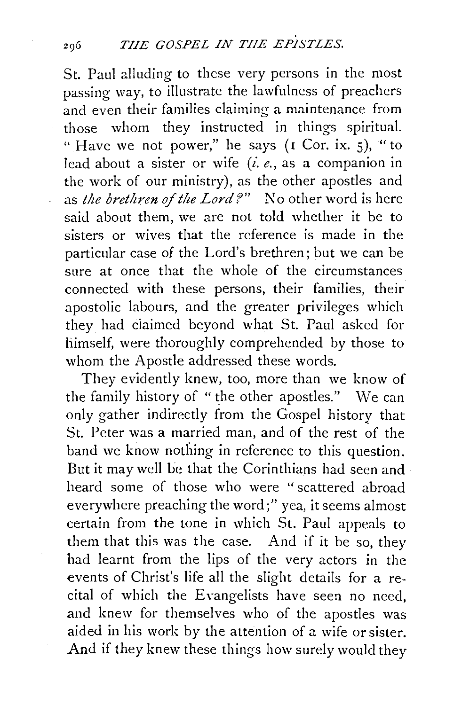St. Paul alluding to these very persons in the most passing way, to illustrate the lawfulness of preachers and even their families claiming a maintenance from those whom they instructed in things spiritual. " Have we not power," he says (I Cor. ix. 5), " to lead about a sister or wife (i. *e.,* as a companion in the work of our ministry), as the other apostles and as *the brethren oj the Lord?"* No other word is here said about them, we are not told whether it be to sisters or wives that the reference is made in the particular case of the Lord's brethren; but we can be sure at once that the whole of the circumstances connected with these persons, their families, their apostolic labours, and the greater privileges which they had ciaimed beyond what St. Paul asked for himself, were thoroughly comprehended by those to whom the Apostle addressed these words.

They evidently knew, too, more than we know of the family history of " the other apostles." We can only gather indirectly from the Gospel history that St. Peter was a married man, and of the rest of the band we know nothing in reference to this question. But it may well be that the Corinthians had seen and heard some of those who were "scattered abroad everywhere preaching the word;" yea, it seems almost certain from the tone in which St. Paul appeals to them that this was the case. And if it be so, they had learnt from the lips of the very actors in the events of Christ's life all the slight details for a recital of which the Evangelists have seen no need, and knew for themselves who of the apostles was aided in his work by the attention of a wife or sister. And if they knew these things how surely would they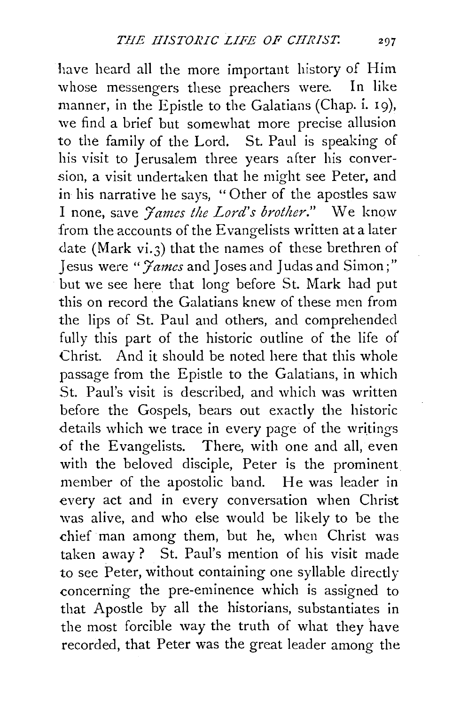have heard all the more important history of Him whose messengers these preachers were. In like manner, in the Epistle to the Galatians (Chap. i. 19), we find a brief but somewhat more precise allusion to the family of the Lord. St. Paul is speaking of his visit to Jerusalem three years after his conversion, a visit undertaken that he might see Peter, and in his narrative he says, "Other of the apostles saw I none, save *'James the Lord's brother."* We know from the accounts of the Evangelists written at a later date (Mark vi.3) that the names of these brethren of Jesus were "*James* and Joses and Judas and Simon;" but we see here that long before St. Mark had put this on record the Galatians knew of these men from the lips of St. Paul and others, and comprehended fully this part of the historic outline of the life of Christ. And it should be noted here that this whole passage from the Epistle to the Galatians, in which St. Paul's visit is described, and which was written before the Gospels, bears out exactly the historic details which we trace in every page of the writings of the Evangelists. There, with one and all, even with the beloved disciple, Peter is the prominent member of the apostolic band. He was leader in every act and in every conversation when Christ was alive, and who else would be likely to be the chief man among them, but he, when Christ was taken away ? St. Paul's mention of his visit made to see Peter, without containing one syllable directly concerning the pre-eminence which is assigned to that Apostle by all the historians, substantiates in the most forcible way the truth of what they have recorded, that Peter was the great leader among the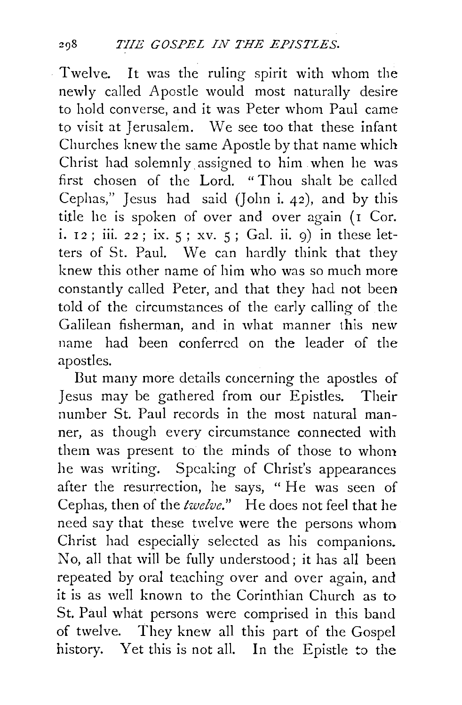Twelve. It was the ruling spirit with whom the newly called Apostle would most naturally desire to hold converse, and it was Peter whom Paul came to visit at Jerusalem. We see too that these infant Churches knew the same Apostle by that name which Christ had solemnly assigned to him when he was first chosen of the Lord. "Thou shalt be called Cephas," Jesus had said (John i. 42), and by this title he is spoken of over and over again  $($ I Cor. i. 12; iii. 22; ix.  $5$ ; xv.  $5$ ; Gal. ii. 9) in these letters of St. Paul. We can hardly think that they knew this other name of him who was so much more constantly called Peter, and that they had not been told of the circumstances of the early calling of the Galilean fisherman, and in what manner this new name had been conferred on the leader of the apostles.

But many more details concerning the apostles of Jesus may be gathered from our Epistles. Their number St. Paul records in the most natural manner, as though every circumstance connected with them was present to the minds of those to whom he was writing. Speaking of Christ's appearances after the resurrection, he says, "He was seen of Cephas, then of the *twelve."* He does not feel that he need say that these twelve were the persons whom Christ had especially selected as his companions. No, all that will be fully understood; it has all been repeated by oral teaching over and over again, and it is as well known to the Corinthian Church as to St. Paul what persons were comprised in this band of twelve. They knew all this part of the Gospel history. Yet this is not all. In the Epistle to the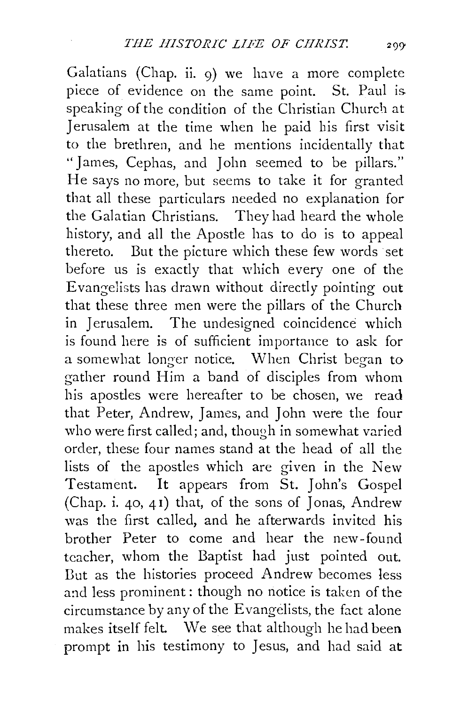Galatians (Chap. ii. 9) we have a more complete piece of evidence on the same point. St. Paul is. speaking of the condition of the Christian Church at Jerusalem at the time when he paid his first visit to the brethren, and he mentions incidentally that "James, Cephas, and John seemed to be pillars." He says no more, but seems to take it for granted that all these particulars needed no explanation for the Galatian Christians. They had heard the whole history, and all the Apostle has to do is to appeal thereto. But the picture which these few words set before us is exactly that which every one of the Evangelists has drawn without directly pointing out that these three men were the pillars of the Church in Jerusalem. The undesigned coincidence which is found here is of sufficient importance to ask for a somewhat longer notice. When Christ began to gather round Him a band of disciples from whom his apostles were hereafter to be chosen, we read that Peter, Andrew, James, and John were the four who were first called; and, though in somewhat varied order, these four names stand at the head of all the lists of the apostles which are given in the New Testament. It appears from St. John's Gospel (Chap. i. 40, 41) that, of the sons of Jonas, Andrew was the first called, and he afterwards invited his brother Peter to come and hear the new-found teacher, whom the Baptist had just pointed out. Dut as the histories proceed Andrew becomes less and less prominent: though no notice is taken of the circumstance by any of the Evangelists, the fact alone makes itself felt. We see that although he had been prompt **in** his testimony to Jesus, and had said at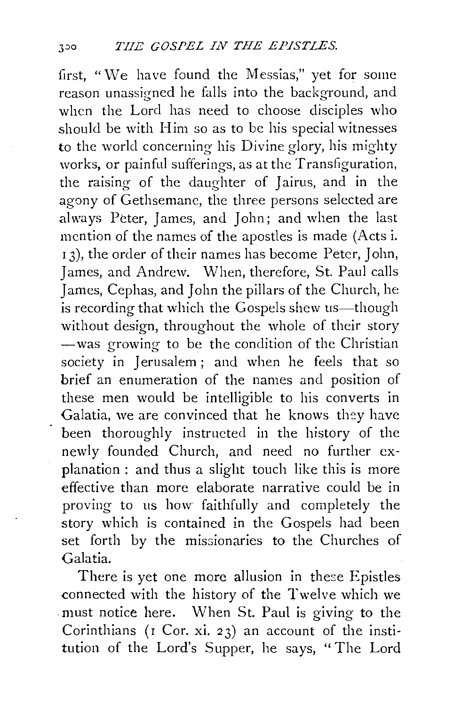first, "We have found the Messias," yet for some reason unassigned he falls into the background, and when the Lord has need to choose disciples who should be with Him so as to be his special witnesses to the world concerning his Divine glory, his mighty works, or painful sufferings, as at the Transfiguration, the raising of the daughter of Jairus, and in the agony of Gethsemane, the three persons selected are always Peter, James, and John; and when the last mention of the names of the apostles is made (Acts i. 13), the order of their names has become Peter, John, James, and Andrew. When, therefore, St. Paul calls James, Cephas, and John the pillars of the Church, he is recording that which the Gospels shew us—though without design, throughout the whole of their story -was growing to be the condition of the Christian society in Jerusalem; and when he feels that so brief an enumeration of the names and position of these men would be intelligible to his converts in Galatia, we are convinced that he knows they have been thoroughly instructed in the history of the newly founded Church, and need no further explanation : and thus a slight touch like this is more effective than more elaborate narrative could be in proving to us how faithfuily and completely the story which is contained in the Gospels had been set forth by the missionaries to the Churches of Galatia.

There is yet one more allusion in these Epistles connected with the history of the Twelve which we . must notice here. When St. Paul is giving to the Corinthians (r Cor. xi. 23) an account of the institution of the Lord's Supper, he says, ''The Lord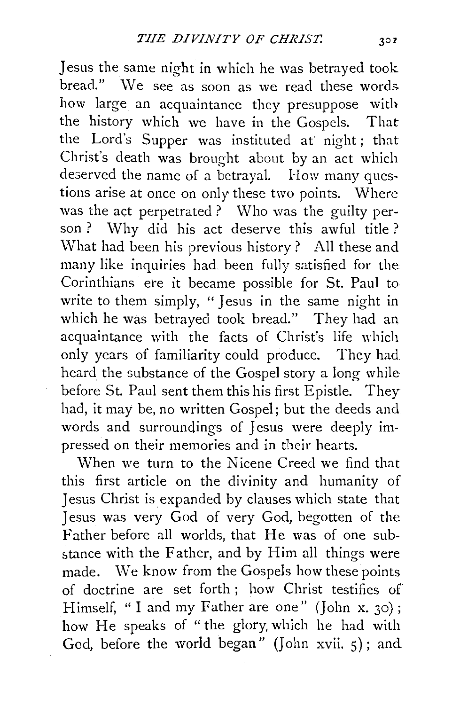Jesus the same night in which he was betrayed took bread." We see as soon as we read these words. how large an acquaintance they presuppose with the history which we have in the Gospels. That the Lord's Supper was instituted at night; that Christ's death was brought about by an act which deserved the name of a betrayal. How many questions arise at once on only these two points. Where was the act perpetrated ? Who was the guilty person ? Why did his act deserve this awful title ? What had been his previous history? All these and many like inquiries had. been fully satisfied for the Corinthians ere it became possible for St. Paul to write to them simply, "Jesus in the same night in which he was betrayed took bread." They had an acquaintance with the facts of Christ's life which only years of familiarity could produce. They had heard the substance of the Gospel story a long while before St. Paul sent them this his first Epistle. They had, it may be, no written Gospel; but the deeds and words and surroundings of Jesus were deeply impressed on their memories and in their hearts.

When we turn to the Nicene Creed we find that this first article on the divinity and humanity of Jesus Christ is expanded by clauses which state that Jesus was very God of very God, begotten of the Father before all worlds, that He was of one substance with the Father, and by Him all things were made. We know from the Gospels how these points of doctrine are set forth ; how Christ testifies of Himself, "I and my Father are one" (John x. 30); how He speaks of "the glory, which he had with God, before the world began" (John xvii.  $\varsigma$ ); and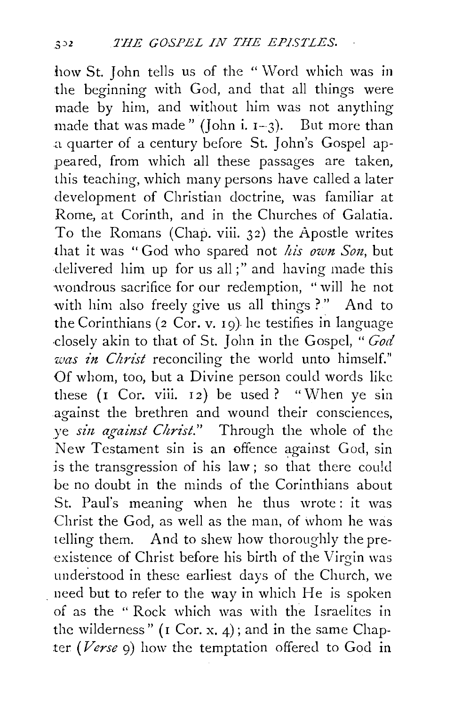how St. John tells us of the "Word which was in the beginning with God, and that all things were made by him, and without him was not anything made that was made" (John i.  $I-3$ ). But more than a quarter of a century before St. John's Gospel appeared, from which all these passages are taken, this teaching, which many persons have called a later development of Christian doctrine, was familiar at Rome, at Corinth, and in the Churches of Galatia. To the Romans (Chap. viii. 32) the Apostle writes that it was "God who spared not *his own Son*, but delivered him up for us all;" and having made this wondrous sacrifice for our redemption, "will he not with him also freely give us all things ?" And to the Corinthians (2 Cor. v. 19). he testifies in language .closely akin to that of St. John in the Gospel, *"God was in Christ* reconciling the world unto himself." Of whom, too, but a Divine person could words like these  $(I \text{Cor. viii. } I2)$  be used ? "When ye sin against the brethren and wound their consciences, ve *sin against Christ.*" Through the whole of the New Testament sin is an offence against God, sin is the transgression of his law; so that there could be no doubt in the minds of the Corinthians about St. Paul's meaning when he thus wrote: it was Christ the God, as well as the man, of whom he was telling them. And to shew how thoroughly the preexistence of Christ before his birth of the Virgin was understood in these earliest days of the Church, we . need but to refer to the way in which He is spoken of as the " Rock which was with the Israelites in the wilderness" ( $I$  Cor. x. 4); and in the same Chapter *(Verse* 9) how the temptation offered to God in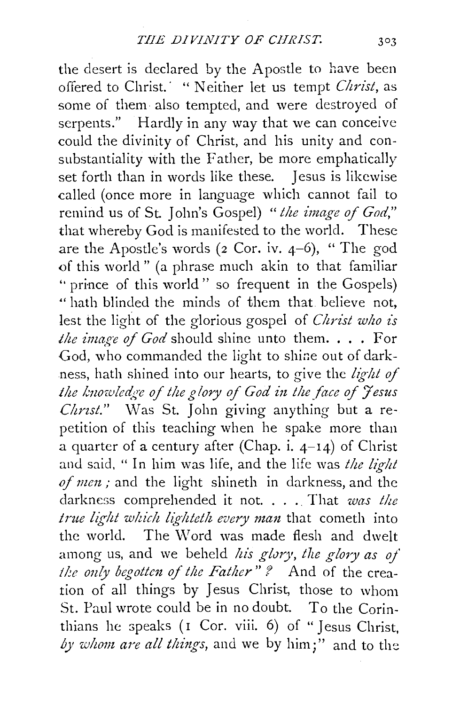the desert is declared by the Apostle to have been offered to Christ.<sup>'</sup> " Neither let us tempt *Christ*, as some of them also tempted, and were destroyed of serpents." Hardly in any way that we can conceive could the divinity of Christ, and his unity and consubstantiality with the Father, be more emphatically set forth than in words like these. Jesus is likewise called (once more in language which cannot fail to remind us of St. John's Gospel) " the image of God," that whereby God is manifested to the world. These are the Apostle's words  $(2 \text{ Cor. iv. } 4-6)$ , "The god of this world" (a phrase much akin to that familiar " prince of this world" so frequent in the Gospels) •• hath blinded the minds of them that believe not, lest the light of the glorious gospel of *Christ who is the image of God* should shine unto them. . . . For God, who commanded the light to shine out of darkness, hath shined into our hearts, to give the *light of the lmozoled,:;e of the g !ory of God in the face of Jesus Christ.*" Was St. John giving anything but a repetition of this teaching when he spake more than a quarter of a century after (Chap. i.  $4-14$ ) of Christ and said, " In him was life, and the life was *the light of men;* and the light shineth in darkness, and the darkness comprehended it not. . . . That *was the* true light which lighteth every man that cometh into the world. The Word was made flesh and dwelt among us, and we beheld *his glory*, the glory as of the only begotten of the Father" ? And of the creation of all things by Jesus Christ, those to whom St. Paul wrote could be in no doubt. To the Corinthians he speaks ( $\bar{I}$  Cor. viii. 6) of "Jesus Christ, by whom are all things, and we by him;" and to the